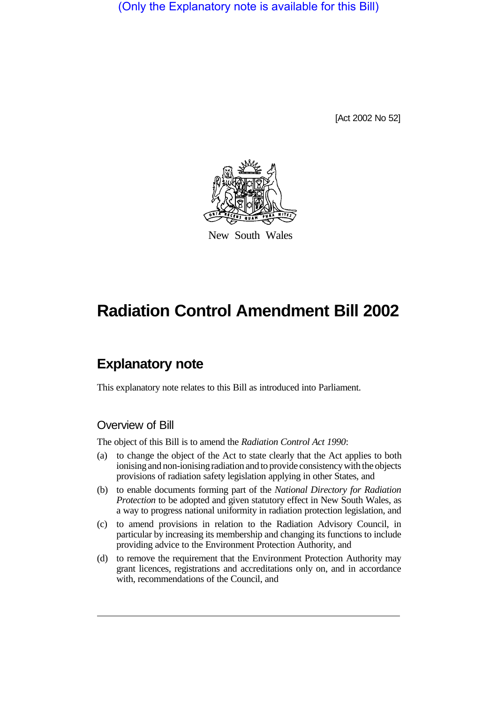(Only the Explanatory note is available for this Bill)

[Act 2002 No 52]



New South Wales

# **Radiation Control Amendment Bill 2002**

# **Explanatory note**

This explanatory note relates to this Bill as introduced into Parliament.

# Overview of Bill

The object of this Bill is to amend the *Radiation Control Act 1990*:

- (a) to change the object of the Act to state clearly that the Act applies to both ionising and non-ionising radiation and to provide consistency with the objects provisions of radiation safety legislation applying in other States, and
- (b) to enable documents forming part of the *National Directory for Radiation Protection* to be adopted and given statutory effect in New South Wales, as a way to progress national uniformity in radiation protection legislation, and
- (c) to amend provisions in relation to the Radiation Advisory Council, in particular by increasing its membership and changing its functions to include providing advice to the Environment Protection Authority, and
- (d) to remove the requirement that the Environment Protection Authority may grant licences, registrations and accreditations only on, and in accordance with, recommendations of the Council, and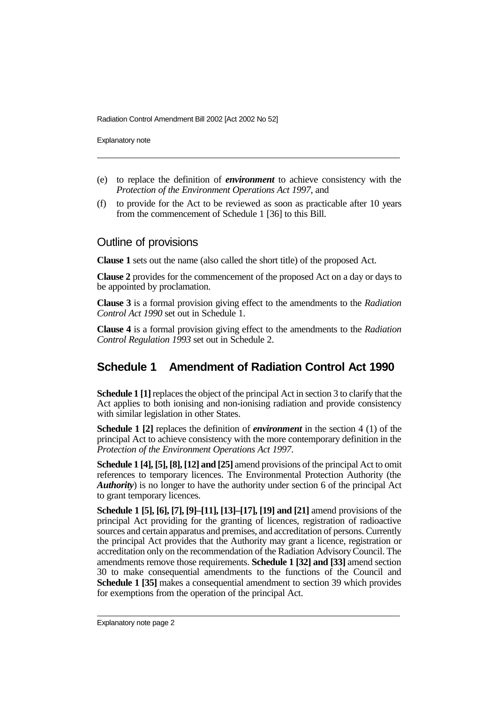Radiation Control Amendment Bill 2002 [Act 2002 No 52]

Explanatory note

- (e) to replace the definition of *environment* to achieve consistency with the *Protection of the Environment Operations Act 1997*, and
- (f) to provide for the Act to be reviewed as soon as practicable after 10 years from the commencement of Schedule 1 [36] to this Bill.

#### Outline of provisions

**Clause 1** sets out the name (also called the short title) of the proposed Act.

**Clause 2** provides for the commencement of the proposed Act on a day or days to be appointed by proclamation.

**Clause 3** is a formal provision giving effect to the amendments to the *Radiation Control Act 1990* set out in Schedule 1.

**Clause 4** is a formal provision giving effect to the amendments to the *Radiation Control Regulation 1993* set out in Schedule 2.

# **Schedule 1 Amendment of Radiation Control Act 1990**

**Schedule 1 [1]**replaces the object of the principal Act in section 3 to clarify that the Act applies to both ionising and non-ionising radiation and provide consistency with similar legislation in other States.

**Schedule 1 [2]** replaces the definition of *environment* in the section 4 (1) of the principal Act to achieve consistency with the more contemporary definition in the *Protection of the Environment Operations Act 1997*.

**Schedule 1 [4], [5], [8], [12] and [25]** amend provisions of the principal Act to omit references to temporary licences. The Environmental Protection Authority (the *Authority*) is no longer to have the authority under section 6 of the principal Act to grant temporary licences.

**Schedule 1 [5], [6], [7], [9]–[11], [13]–[17], [19] and [21]** amend provisions of the principal Act providing for the granting of licences, registration of radioactive sources and certain apparatus and premises, and accreditation of persons. Currently the principal Act provides that the Authority may grant a licence, registration or accreditation only on the recommendation of the Radiation Advisory Council. The amendments remove those requirements. **Schedule 1 [32] and [33]** amend section 30 to make consequential amendments to the functions of the Council and **Schedule 1 [35]** makes a consequential amendment to section 39 which provides for exemptions from the operation of the principal Act.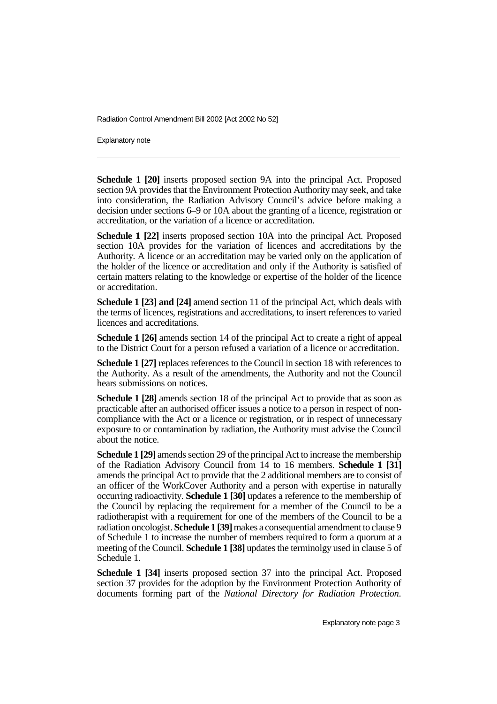Radiation Control Amendment Bill 2002 [Act 2002 No 52]

Explanatory note

**Schedule 1 [20]** inserts proposed section 9A into the principal Act. Proposed section 9A provides that the Environment Protection Authority may seek, and take into consideration, the Radiation Advisory Council's advice before making a decision under sections 6–9 or 10A about the granting of a licence, registration or accreditation, or the variation of a licence or accreditation.

**Schedule 1 [22]** inserts proposed section 10A into the principal Act. Proposed section 10A provides for the variation of licences and accreditations by the Authority. A licence or an accreditation may be varied only on the application of the holder of the licence or accreditation and only if the Authority is satisfied of certain matters relating to the knowledge or expertise of the holder of the licence or accreditation.

**Schedule 1 [23] and [24]** amend section 11 of the principal Act, which deals with the terms of licences, registrations and accreditations, to insert references to varied licences and accreditations.

**Schedule 1 [26]** amends section 14 of the principal Act to create a right of appeal to the District Court for a person refused a variation of a licence or accreditation.

**Schedule 1 [27]** replaces references to the Council in section 18 with references to the Authority. As a result of the amendments, the Authority and not the Council hears submissions on notices.

**Schedule 1 [28]** amends section 18 of the principal Act to provide that as soon as practicable after an authorised officer issues a notice to a person in respect of noncompliance with the Act or a licence or registration, or in respect of unnecessary exposure to or contamination by radiation, the Authority must advise the Council about the notice.

**Schedule 1 [29]** amends section 29 of the principal Act to increase the membership of the Radiation Advisory Council from 14 to 16 members. **Schedule 1 [31]** amends the principal Act to provide that the 2 additional members are to consist of an officer of the WorkCover Authority and a person with expertise in naturally occurring radioactivity. **Schedule 1 [30]** updates a reference to the membership of the Council by replacing the requirement for a member of the Council to be a radiotherapist with a requirement for one of the members of the Council to be a radiation oncologist. **Schedule 1 [39]**makes a consequential amendment to clause 9 of Schedule 1 to increase the number of members required to form a quorum at a meeting of the Council. **Schedule 1 [38]** updates the terminolgy used in clause 5 of Schedule 1.

**Schedule 1 [34]** inserts proposed section 37 into the principal Act. Proposed section 37 provides for the adoption by the Environment Protection Authority of documents forming part of the *National Directory for Radiation Protection*.